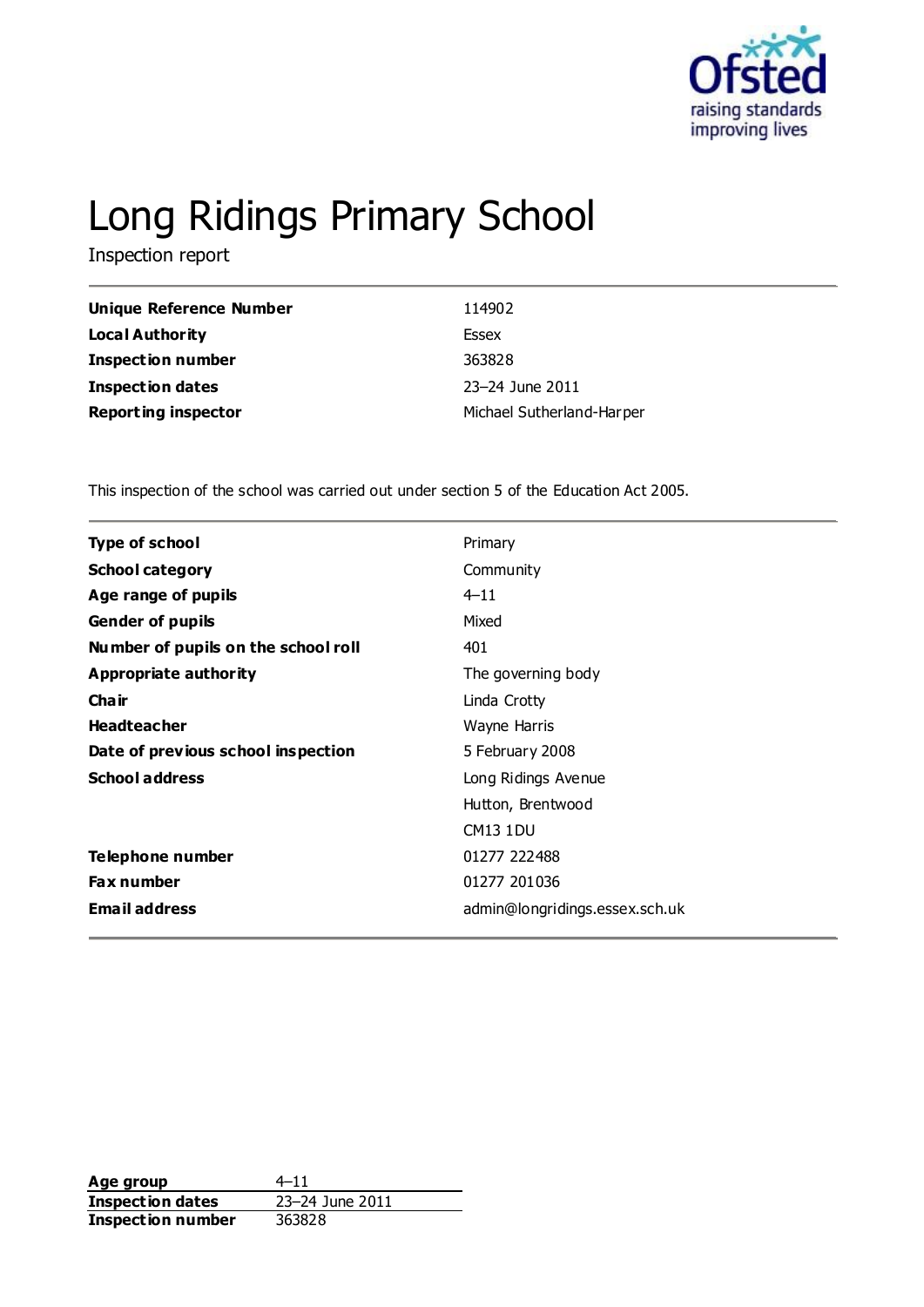

# Long Ridings Primary School

Inspection report

| <b>Unique Reference Number</b> | 114902                    |
|--------------------------------|---------------------------|
| <b>Local Authority</b>         | Essex                     |
| <b>Inspection number</b>       | 363828                    |
| <b>Inspection dates</b>        | 23-24 June 2011           |
| <b>Reporting inspector</b>     | Michael Sutherland-Harper |

This inspection of the school was carried out under section 5 of the Education Act 2005.

| <b>Type of school</b>               | Primary                        |
|-------------------------------------|--------------------------------|
| <b>School category</b>              | Community                      |
| Age range of pupils                 | $4 - 11$                       |
| <b>Gender of pupils</b>             | Mixed                          |
| Number of pupils on the school roll | 401                            |
| Appropriate authority               | The governing body             |
| Cha ir                              | Linda Crotty                   |
| <b>Headteacher</b>                  | Wayne Harris                   |
| Date of previous school inspection  | 5 February 2008                |
| <b>School address</b>               | Long Ridings Avenue            |
|                                     | Hutton, Brentwood              |
|                                     | <b>CM13 1DU</b>                |
| Telephone number                    | 01277 222488                   |
| <b>Fax number</b>                   | 01277 201036                   |
| <b>Email address</b>                | admin@longridings.essex.sch.uk |
|                                     |                                |

**Age group**  $4-11$ <br> **Inspection dates**  $23-24$  June 2011 **Inspection dates Inspection number** 363828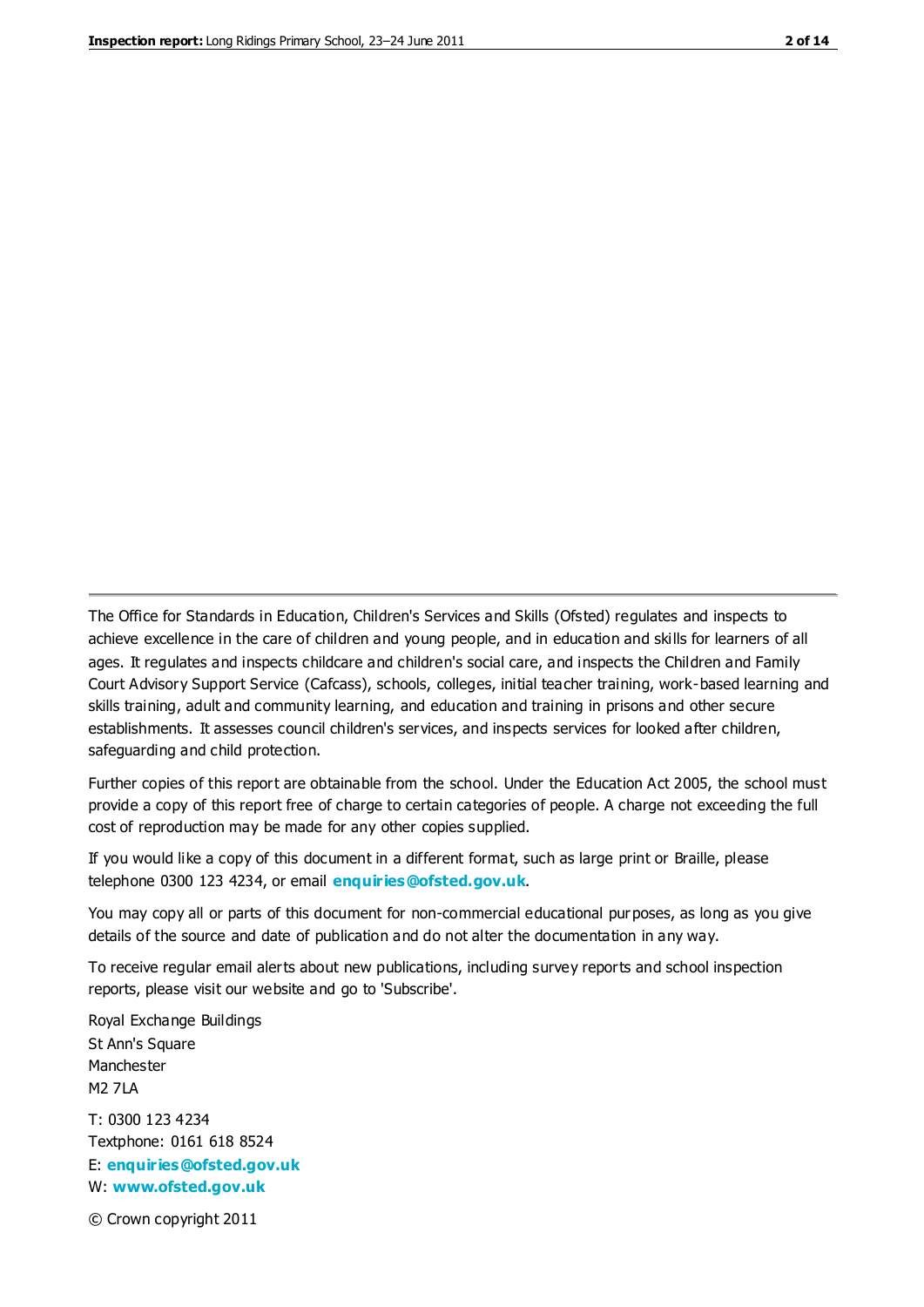The Office for Standards in Education, Children's Services and Skills (Ofsted) regulates and inspects to achieve excellence in the care of children and young people, and in education and skills for learners of all ages. It regulates and inspects childcare and children's social care, and inspects the Children and Family Court Advisory Support Service (Cafcass), schools, colleges, initial teacher training, work-based learning and skills training, adult and community learning, and education and training in prisons and other secure establishments. It assesses council children's services, and inspects services for looked after children, safeguarding and child protection.

Further copies of this report are obtainable from the school. Under the Education Act 2005, the school must provide a copy of this report free of charge to certain categories of people. A charge not exceeding the full cost of reproduction may be made for any other copies supplied.

If you would like a copy of this document in a different format, such as large print or Braille, please telephone 0300 123 4234, or email **[enquiries@ofsted.gov.uk](mailto:enquiries@ofsted.gov.uk)**.

You may copy all or parts of this document for non-commercial educational purposes, as long as you give details of the source and date of publication and do not alter the documentation in any way.

To receive regular email alerts about new publications, including survey reports and school inspection reports, please visit our website and go to 'Subscribe'.

Royal Exchange Buildings St Ann's Square Manchester M2 7LA T: 0300 123 4234 Textphone: 0161 618 8524 E: **[enquiries@ofsted.gov.uk](mailto:enquiries@ofsted.gov.uk)**

W: **[www.ofsted.gov.uk](http://www.ofsted.gov.uk/)**

© Crown copyright 2011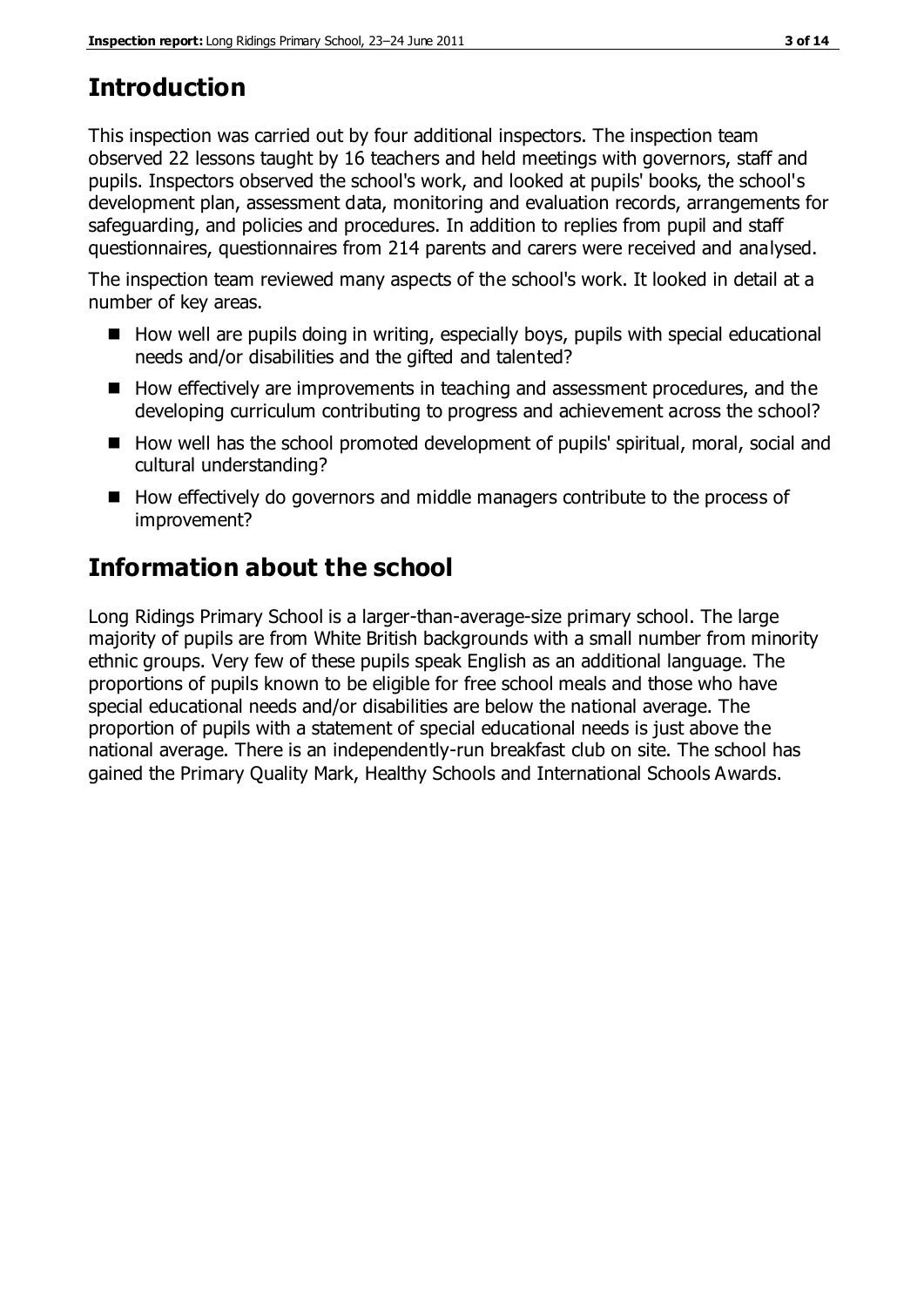## **Introduction**

This inspection was carried out by four additional inspectors. The inspection team observed 22 lessons taught by 16 teachers and held meetings with governors, staff and pupils. Inspectors observed the school's work, and looked at pupils' books, the school's development plan, assessment data, monitoring and evaluation records, arrangements for safeguarding, and policies and procedures. In addition to replies from pupil and staff questionnaires, questionnaires from 214 parents and carers were received and analysed.

The inspection team reviewed many aspects of the school's work. It looked in detail at a number of key areas.

- $\blacksquare$  How well are pupils doing in writing, especially boys, pupils with special educational needs and/or disabilities and the gifted and talented?
- How effectively are improvements in teaching and assessment procedures, and the developing curriculum contributing to progress and achievement across the school?
- How well has the school promoted development of pupils' spiritual, moral, social and cultural understanding?
- How effectively do governors and middle managers contribute to the process of improvement?

## **Information about the school**

Long Ridings Primary School is a larger-than-average-size primary school. The large majority of pupils are from White British backgrounds with a small number from minority ethnic groups. Very few of these pupils speak English as an additional language. The proportions of pupils known to be eligible for free school meals and those who have special educational needs and/or disabilities are below the national average. The proportion of pupils with a statement of special educational needs is just above the national average. There is an independently-run breakfast club on site. The school has gained the Primary Quality Mark, Healthy Schools and International Schools Awards.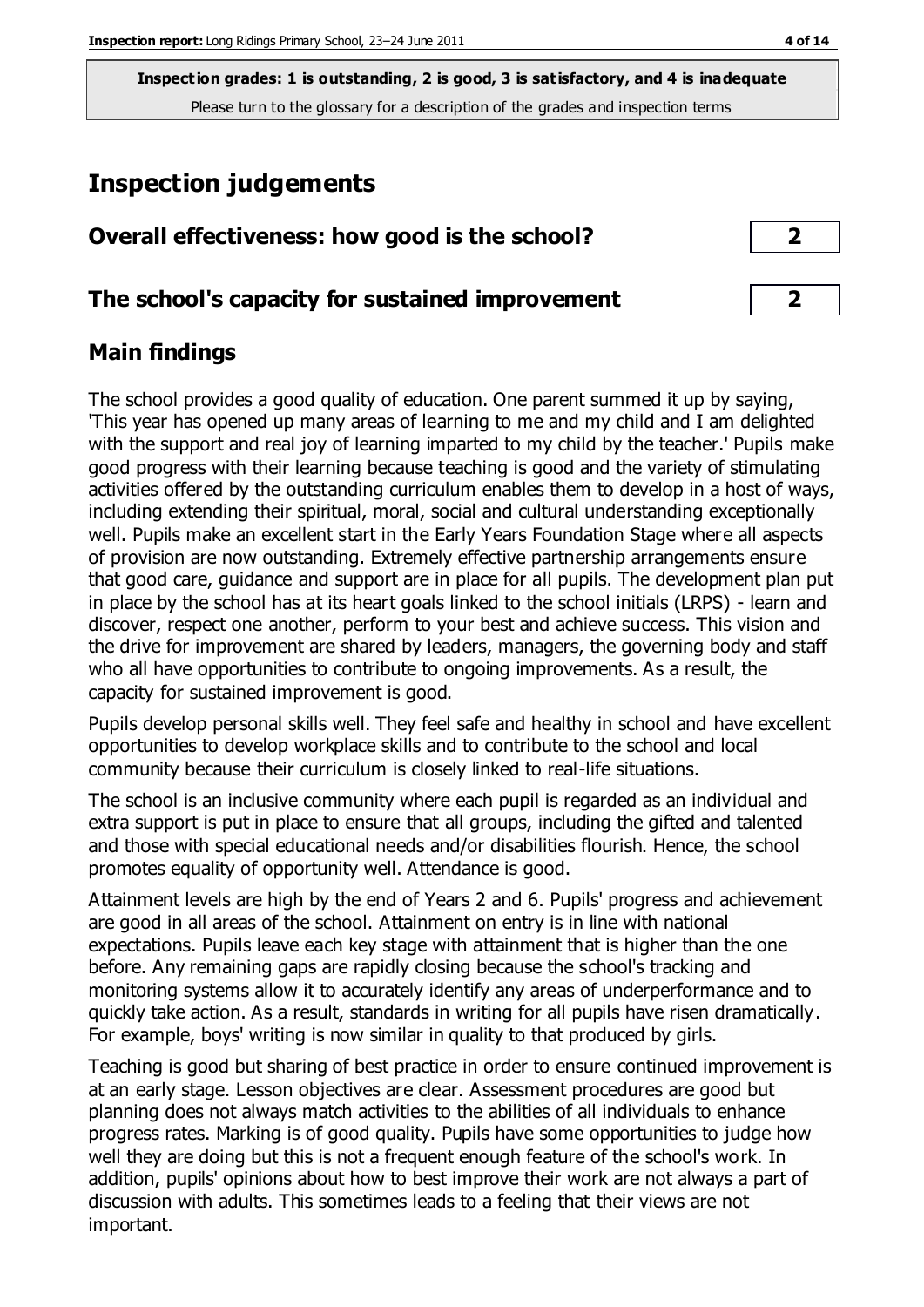## **Inspection judgements**

| Overall effectiveness: how good is the school? |  |  |
|------------------------------------------------|--|--|
|------------------------------------------------|--|--|

#### **The school's capacity for sustained improvement 2**

#### **Main findings**

The school provides a good quality of education. One parent summed it up by saying, 'This year has opened up many areas of learning to me and my child and I am delighted with the support and real joy of learning imparted to my child by the teacher.' Pupils make good progress with their learning because teaching is good and the variety of stimulating activities offered by the outstanding curriculum enables them to develop in a host of ways, including extending their spiritual, moral, social and cultural understanding exceptionally well. Pupils make an excellent start in the Early Years Foundation Stage where all aspects of provision are now outstanding. Extremely effective partnership arrangements ensure that good care, guidance and support are in place for all pupils. The development plan put in place by the school has at its heart goals linked to the school initials (LRPS) - learn and discover, respect one another, perform to your best and achieve success. This vision and the drive for improvement are shared by leaders, managers, the governing body and staff who all have opportunities to contribute to ongoing improvements. As a result, the capacity for sustained improvement is good.

Pupils develop personal skills well. They feel safe and healthy in school and have excellent opportunities to develop workplace skills and to contribute to the school and local community because their curriculum is closely linked to real-life situations.

The school is an inclusive community where each pupil is regarded as an individual and extra support is put in place to ensure that all groups, including the gifted and talented and those with special educational needs and/or disabilities flourish. Hence, the school promotes equality of opportunity well. Attendance is good.

Attainment levels are high by the end of Years 2 and 6. Pupils' progress and achievement are good in all areas of the school. Attainment on entry is in line with national expectations. Pupils leave each key stage with attainment that is higher than the one before. Any remaining gaps are rapidly closing because the school's tracking and monitoring systems allow it to accurately identify any areas of underperformance and to quickly take action. As a result, standards in writing for all pupils have risen dramatically. For example, boys' writing is now similar in quality to that produced by girls.

Teaching is good but sharing of best practice in order to ensure continued improvement is at an early stage. Lesson objectives are clear. Assessment procedures are good but planning does not always match activities to the abilities of all individuals to enhance progress rates. Marking is of good quality. Pupils have some opportunities to judge how well they are doing but this is not a frequent enough feature of the school's work. In addition, pupils' opinions about how to best improve their work are not always a part of discussion with adults. This sometimes leads to a feeling that their views are not important.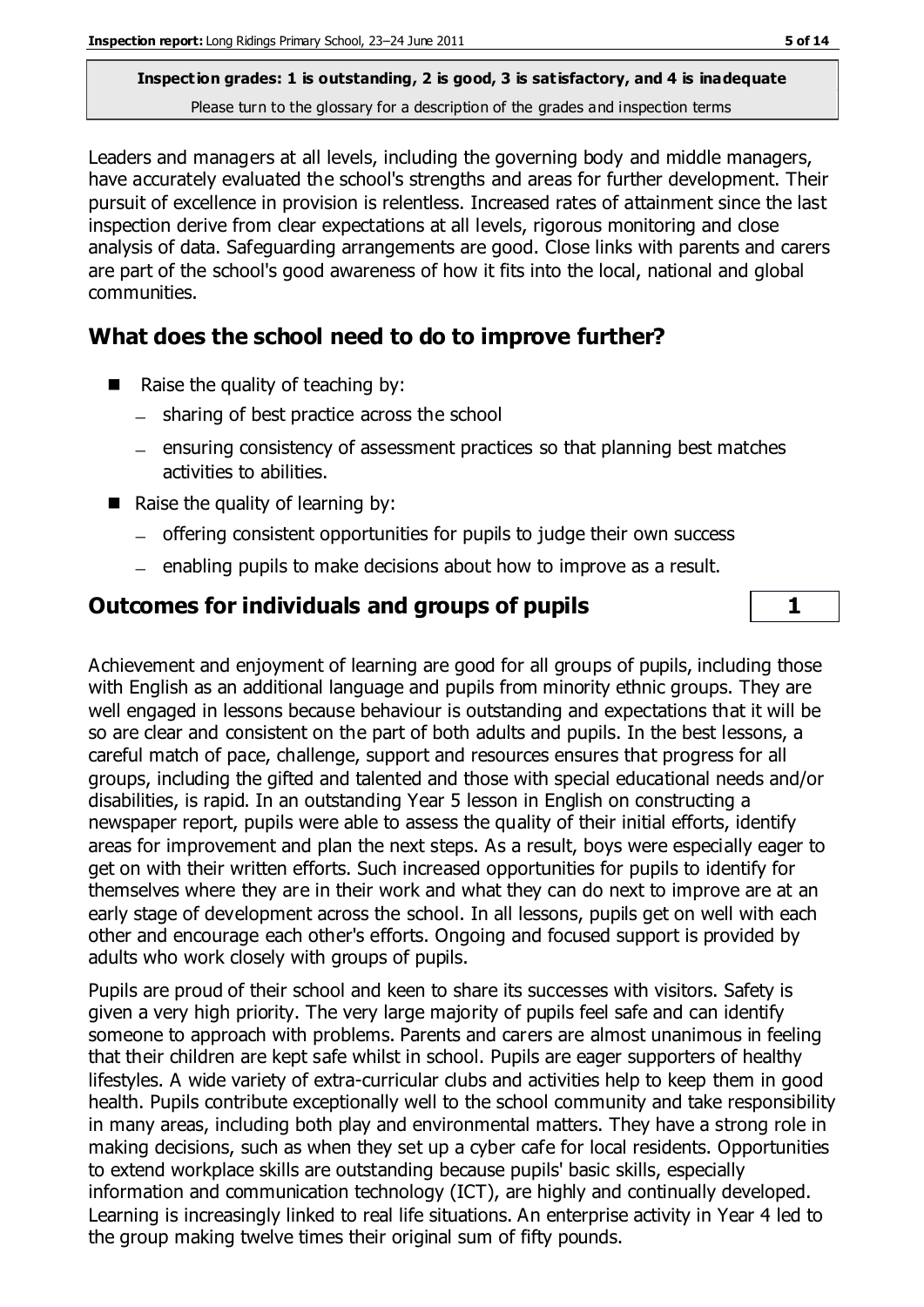Leaders and managers at all levels, including the governing body and middle managers, have accurately evaluated the school's strengths and areas for further development. Their pursuit of excellence in provision is relentless. Increased rates of attainment since the last inspection derive from clear expectations at all levels, rigorous monitoring and close analysis of data. Safeguarding arrangements are good. Close links with parents and carers are part of the school's good awareness of how it fits into the local, national and global communities.

## **What does the school need to do to improve further?**

- $\blacksquare$  Raise the quality of teaching by:
	- sharing of best practice across the school
	- ensuring consistency of assessment practices so that planning best matches activities to abilities.
- Raise the quality of learning by:
	- offering consistent opportunities for pupils to judge their own success
	- $-$  enabling pupils to make decisions about how to improve as a result.

#### **Outcomes for individuals and groups of pupils 1**

Achievement and enjoyment of learning are good for all groups of pupils, including those with English as an additional language and pupils from minority ethnic groups. They are well engaged in lessons because behaviour is outstanding and expectations that it will be so are clear and consistent on the part of both adults and pupils. In the best lessons, a careful match of pace, challenge, support and resources ensures that progress for all groups, including the gifted and talented and those with special educational needs and/or disabilities, is rapid. In an outstanding Year 5 lesson in English on constructing a newspaper report, pupils were able to assess the quality of their initial efforts, identify areas for improvement and plan the next steps. As a result, boys were especially eager to get on with their written efforts. Such increased opportunities for pupils to identify for themselves where they are in their work and what they can do next to improve are at an early stage of development across the school. In all lessons, pupils get on well with each other and encourage each other's efforts. Ongoing and focused support is provided by adults who work closely with groups of pupils.

Pupils are proud of their school and keen to share its successes with visitors. Safety is given a very high priority. The very large majority of pupils feel safe and can identify someone to approach with problems. Parents and carers are almost unanimous in feeling that their children are kept safe whilst in school. Pupils are eager supporters of healthy lifestyles. A wide variety of extra-curricular clubs and activities help to keep them in good health. Pupils contribute exceptionally well to the school community and take responsibility in many areas, including both play and environmental matters. They have a strong role in making decisions, such as when they set up a cyber cafe for local residents. Opportunities to extend workplace skills are outstanding because pupils' basic skills, especially information and communication technology (ICT), are highly and continually developed. Learning is increasingly linked to real life situations. An enterprise activity in Year 4 led to the group making twelve times their original sum of fifty pounds.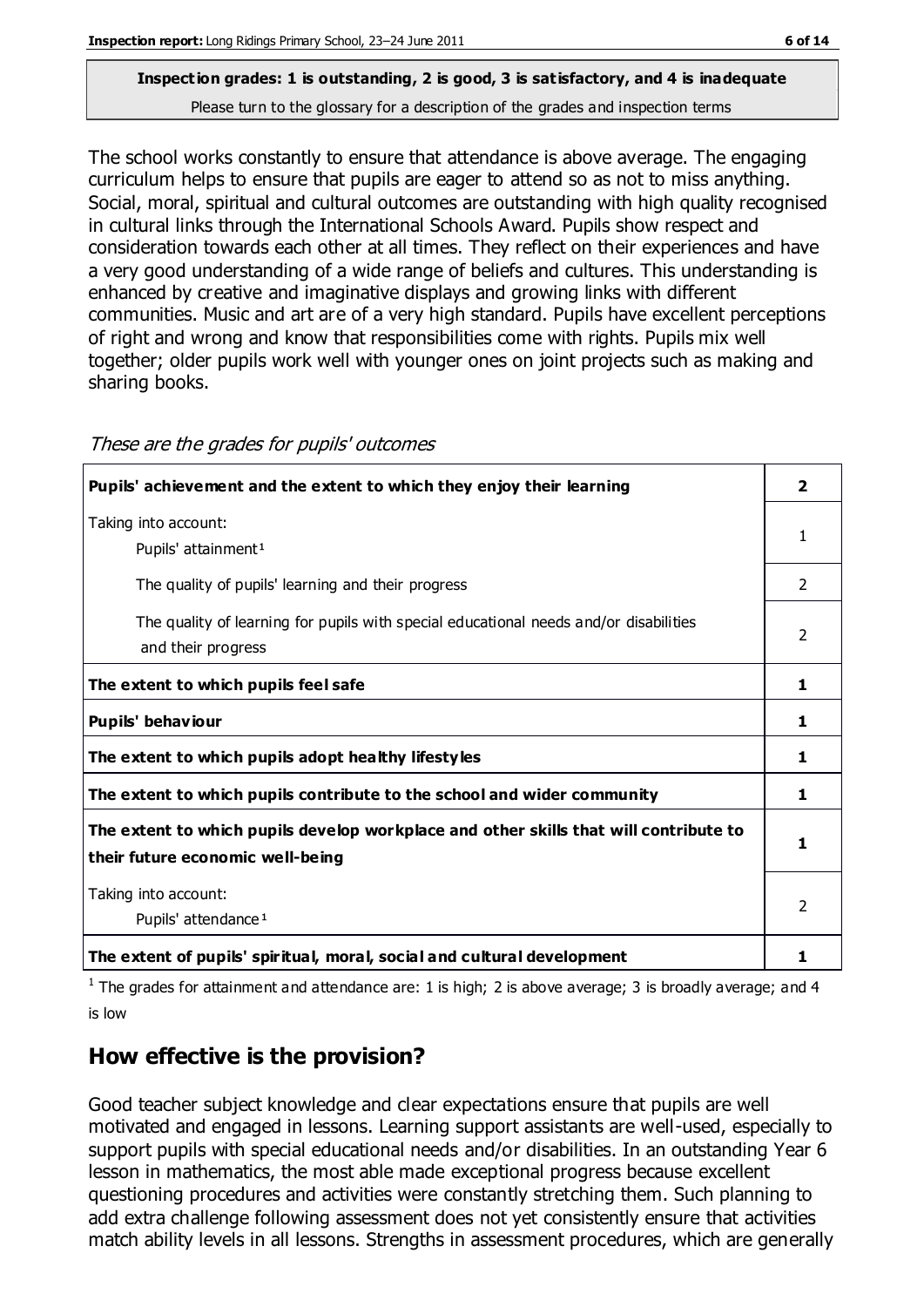## **Inspection grades: 1 is outstanding, 2 is good, 3 is satisfactory, and 4 is inadequate**

Please turn to the glossary for a description of the grades and inspection terms

The school works constantly to ensure that attendance is above average. The engaging curriculum helps to ensure that pupils are eager to attend so as not to miss anything. Social, moral, spiritual and cultural outcomes are outstanding with high quality recognised in cultural links through the International Schools Award. Pupils show respect and consideration towards each other at all times. They reflect on their experiences and have a very good understanding of a wide range of beliefs and cultures. This understanding is enhanced by creative and imaginative displays and growing links with different communities. Music and art are of a very high standard. Pupils have excellent perceptions of right and wrong and know that responsibilities come with rights. Pupils mix well together; older pupils work well with younger ones on joint projects such as making and sharing books.

| Pupils' achievement and the extent to which they enjoy their learning                                                     | $\overline{2}$ |
|---------------------------------------------------------------------------------------------------------------------------|----------------|
| Taking into account:<br>Pupils' attainment <sup>1</sup>                                                                   |                |
| The quality of pupils' learning and their progress                                                                        | $\mathcal{P}$  |
| The quality of learning for pupils with special educational needs and/or disabilities<br>and their progress               | $\mathcal{P}$  |
| The extent to which pupils feel safe                                                                                      | 1              |
| Pupils' behaviour                                                                                                         | 1              |
| The extent to which pupils adopt healthy lifestyles                                                                       | 1              |
| The extent to which pupils contribute to the school and wider community                                                   | 1              |
| The extent to which pupils develop workplace and other skills that will contribute to<br>their future economic well-being | ъ              |
| Taking into account:<br>Pupils' attendance <sup>1</sup>                                                                   | $\mathcal{P}$  |
| The extent of pupils' spiritual, moral, social and cultural development                                                   | 1              |

These are the grades for pupils' outcomes

<sup>1</sup> The grades for attainment and attendance are: 1 is high; 2 is above average; 3 is broadly average; and 4 is low

#### **How effective is the provision?**

Good teacher subject knowledge and clear expectations ensure that pupils are well motivated and engaged in lessons. Learning support assistants are well-used, especially to support pupils with special educational needs and/or disabilities. In an outstanding Year 6 lesson in mathematics, the most able made exceptional progress because excellent questioning procedures and activities were constantly stretching them. Such planning to add extra challenge following assessment does not yet consistently ensure that activities match ability levels in all lessons. Strengths in assessment procedures, which are generally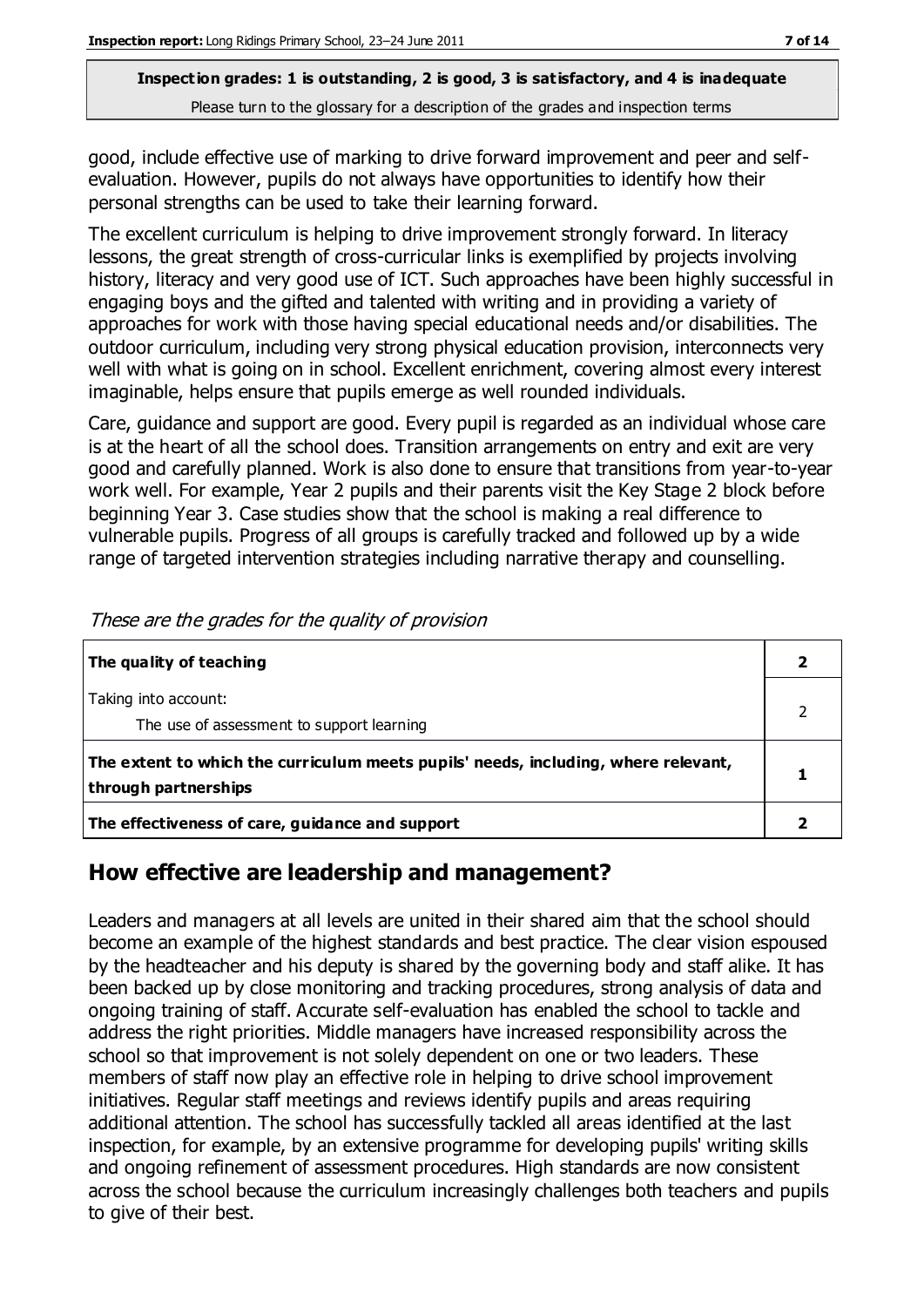good, include effective use of marking to drive forward improvement and peer and selfevaluation. However, pupils do not always have opportunities to identify how their personal strengths can be used to take their learning forward.

The excellent curriculum is helping to drive improvement strongly forward. In literacy lessons, the great strength of cross-curricular links is exemplified by projects involving history, literacy and very good use of ICT. Such approaches have been highly successful in engaging boys and the gifted and talented with writing and in providing a variety of approaches for work with those having special educational needs and/or disabilities. The outdoor curriculum, including very strong physical education provision, interconnects very well with what is going on in school. Excellent enrichment, covering almost every interest imaginable, helps ensure that pupils emerge as well rounded individuals.

Care, guidance and support are good. Every pupil is regarded as an individual whose care is at the heart of all the school does. Transition arrangements on entry and exit are very good and carefully planned. Work is also done to ensure that transitions from year-to-year work well. For example, Year 2 pupils and their parents visit the Key Stage 2 block before beginning Year 3. Case studies show that the school is making a real difference to vulnerable pupils. Progress of all groups is carefully tracked and followed up by a wide range of targeted intervention strategies including narrative therapy and counselling.

| The quality of teaching                                                                                    |  |
|------------------------------------------------------------------------------------------------------------|--|
| Taking into account:<br>The use of assessment to support learning                                          |  |
| The extent to which the curriculum meets pupils' needs, including, where relevant,<br>through partnerships |  |
| The effectiveness of care, guidance and support                                                            |  |

These are the grades for the quality of provision

## **How effective are leadership and management?**

Leaders and managers at all levels are united in their shared aim that the school should become an example of the highest standards and best practice. The clear vision espoused by the headteacher and his deputy is shared by the governing body and staff alike. It has been backed up by close monitoring and tracking procedures, strong analysis of data and ongoing training of staff. Accurate self-evaluation has enabled the school to tackle and address the right priorities. Middle managers have increased responsibility across the school so that improvement is not solely dependent on one or two leaders. These members of staff now play an effective role in helping to drive school improvement initiatives. Regular staff meetings and reviews identify pupils and areas requiring additional attention. The school has successfully tackled all areas identified at the last inspection, for example, by an extensive programme for developing pupils' writing skills and ongoing refinement of assessment procedures. High standards are now consistent across the school because the curriculum increasingly challenges both teachers and pupils to give of their best.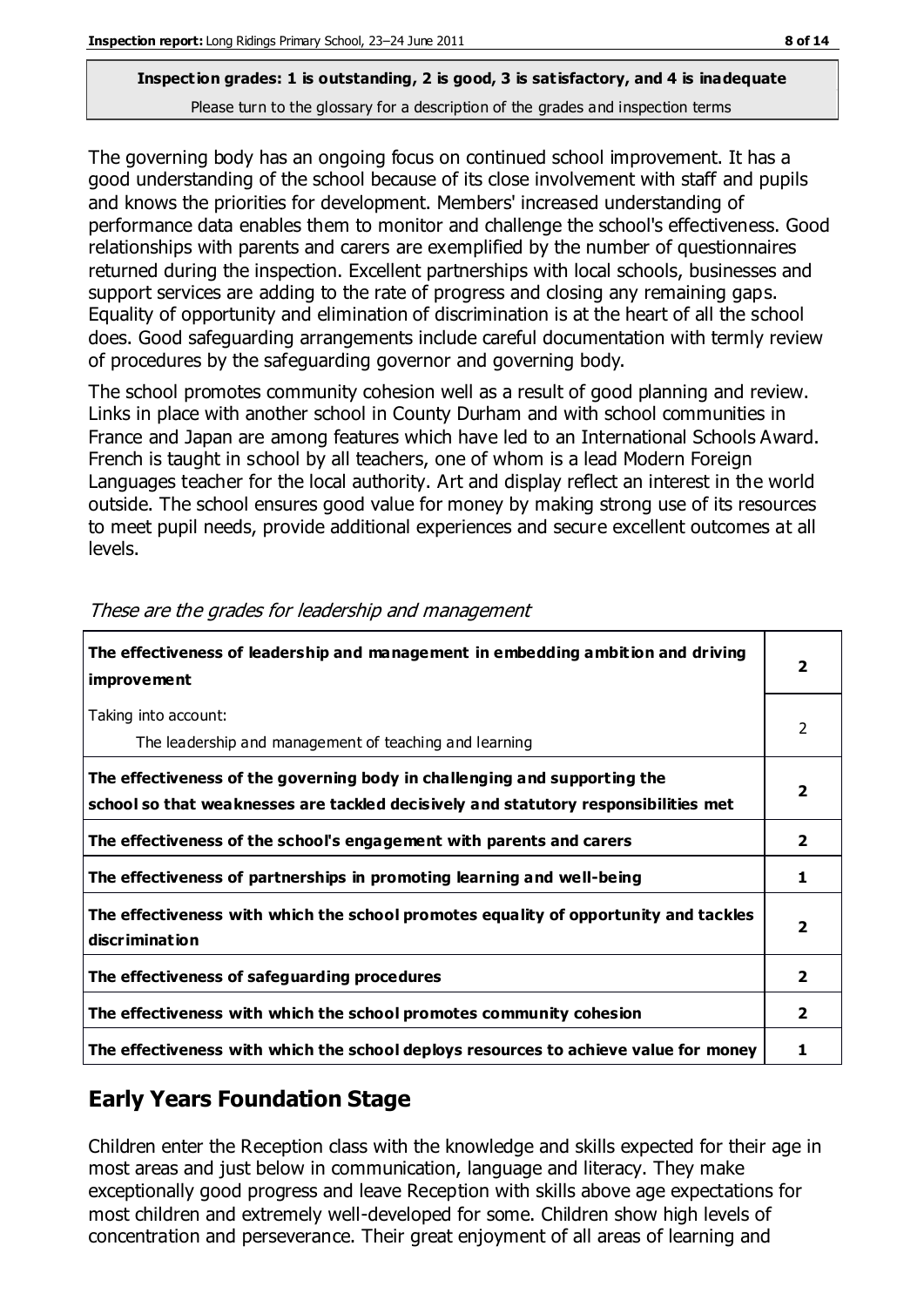The governing body has an ongoing focus on continued school improvement. It has a good understanding of the school because of its close involvement with staff and pupils and knows the priorities for development. Members' increased understanding of performance data enables them to monitor and challenge the school's effectiveness. Good relationships with parents and carers are exemplified by the number of questionnaires returned during the inspection. Excellent partnerships with local schools, businesses and support services are adding to the rate of progress and closing any remaining gaps. Equality of opportunity and elimination of discrimination is at the heart of all the school does. Good safeguarding arrangements include careful documentation with termly review of procedures by the safeguarding governor and governing body.

The school promotes community cohesion well as a result of good planning and review. Links in place with another school in County Durham and with school communities in France and Japan are among features which have led to an International Schools Award. French is taught in school by all teachers, one of whom is a lead Modern Foreign Languages teacher for the local authority. Art and display reflect an interest in the world outside. The school ensures good value for money by making strong use of its resources to meet pupil needs, provide additional experiences and secure excellent outcomes at all levels.

| The effectiveness of leadership and management in embedding ambition and driving<br>improvement                                                                  | 2              |
|------------------------------------------------------------------------------------------------------------------------------------------------------------------|----------------|
| Taking into account:<br>The leadership and management of teaching and learning                                                                                   | $\mathcal{P}$  |
| The effectiveness of the governing body in challenging and supporting the<br>school so that weaknesses are tackled decisively and statutory responsibilities met | 2              |
| The effectiveness of the school's engagement with parents and carers                                                                                             | $\mathbf{2}$   |
| The effectiveness of partnerships in promoting learning and well-being                                                                                           | 1              |
| The effectiveness with which the school promotes equality of opportunity and tackles<br><b>discrimination</b>                                                    | $\mathbf{2}$   |
| The effectiveness of safeguarding procedures                                                                                                                     | $\mathbf{2}$   |
| The effectiveness with which the school promotes community cohesion                                                                                              | $\overline{2}$ |
| The effectiveness with which the school deploys resources to achieve value for money                                                                             |                |

These are the grades for leadership and management

## **Early Years Foundation Stage**

Children enter the Reception class with the knowledge and skills expected for their age in most areas and just below in communication, language and literacy. They make exceptionally good progress and leave Reception with skills above age expectations for most children and extremely well-developed for some. Children show high levels of concentration and perseverance. Their great enjoyment of all areas of learning and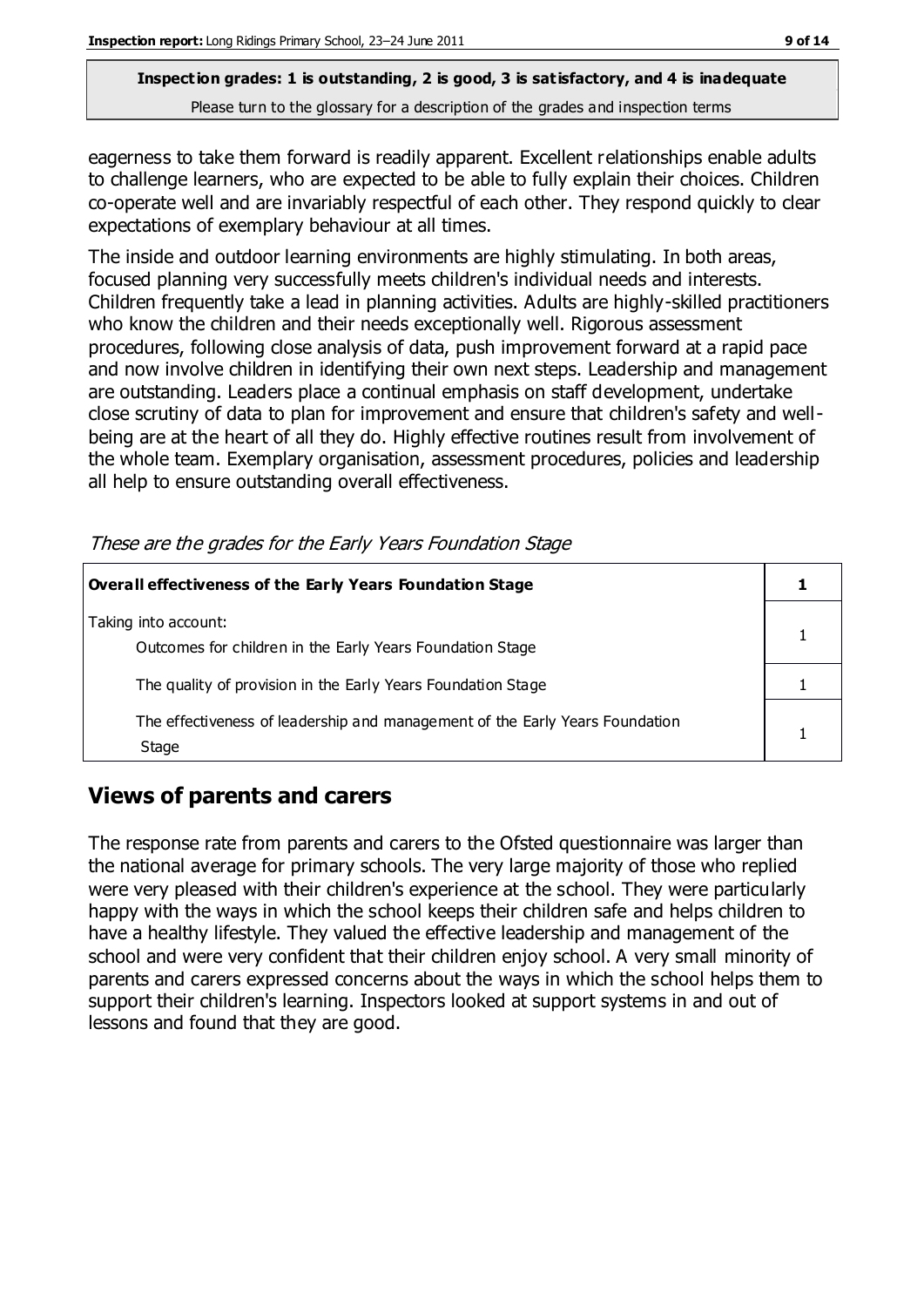eagerness to take them forward is readily apparent. Excellent relationships enable adults to challenge learners, who are expected to be able to fully explain their choices. Children co-operate well and are invariably respectful of each other. They respond quickly to clear expectations of exemplary behaviour at all times.

The inside and outdoor learning environments are highly stimulating. In both areas, focused planning very successfully meets children's individual needs and interests. Children frequently take a lead in planning activities. Adults are highly-skilled practitioners who know the children and their needs exceptionally well. Rigorous assessment procedures, following close analysis of data, push improvement forward at a rapid pace and now involve children in identifying their own next steps. Leadership and management are outstanding. Leaders place a continual emphasis on staff development, undertake close scrutiny of data to plan for improvement and ensure that children's safety and wellbeing are at the heart of all they do. Highly effective routines result from involvement of the whole team. Exemplary organisation, assessment procedures, policies and leadership all help to ensure outstanding overall effectiveness.

| <b>Overall effectiveness of the Early Years Foundation Stage</b>                      |  |
|---------------------------------------------------------------------------------------|--|
| Taking into account:<br>Outcomes for children in the Early Years Foundation Stage     |  |
| The quality of provision in the Early Years Foundation Stage                          |  |
| The effectiveness of leadership and management of the Early Years Foundation<br>Stage |  |

These are the grades for the Early Years Foundation Stage

## **Views of parents and carers**

The response rate from parents and carers to the Ofsted questionnaire was larger than the national average for primary schools. The very large majority of those who replied were very pleased with their children's experience at the school. They were particularly happy with the ways in which the school keeps their children safe and helps children to have a healthy lifestyle. They valued the effective leadership and management of the school and were very confident that their children enjoy school. A very small minority of parents and carers expressed concerns about the ways in which the school helps them to support their children's learning. Inspectors looked at support systems in and out of lessons and found that they are good.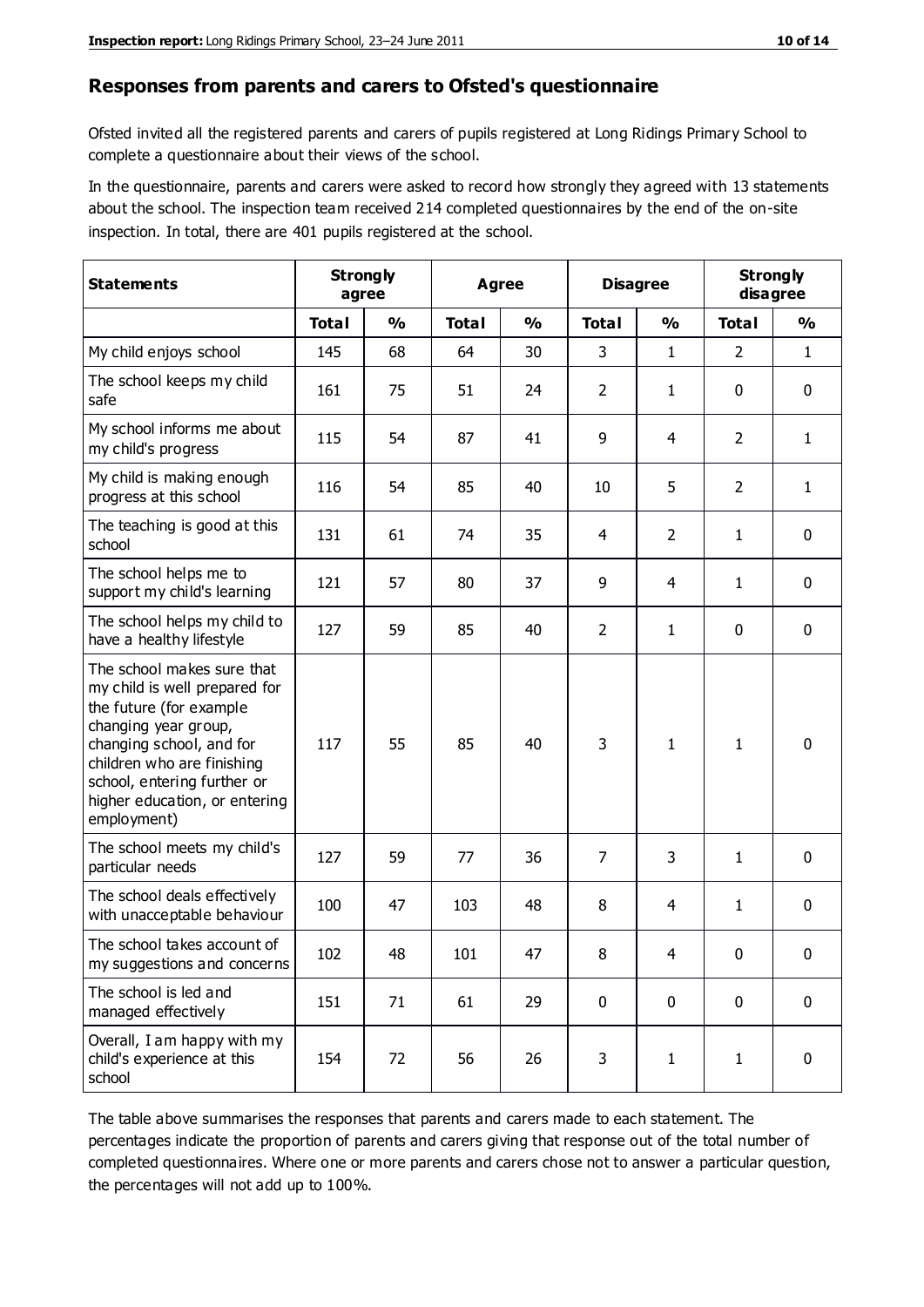#### **Responses from parents and carers to Ofsted's questionnaire**

Ofsted invited all the registered parents and carers of pupils registered at Long Ridings Primary School to complete a questionnaire about their views of the school.

In the questionnaire, parents and carers were asked to record how strongly they agreed with 13 statements about the school. The inspection team received 214 completed questionnaires by the end of the on-site inspection. In total, there are 401 pupils registered at the school.

| <b>Statements</b>                                                                                                                                                                                                                                       | <b>Strongly</b><br>agree |               | Agree        |               | <b>Disagree</b> |                | <b>Strongly</b><br>disagree |               |
|---------------------------------------------------------------------------------------------------------------------------------------------------------------------------------------------------------------------------------------------------------|--------------------------|---------------|--------------|---------------|-----------------|----------------|-----------------------------|---------------|
|                                                                                                                                                                                                                                                         | <b>Total</b>             | $\frac{0}{0}$ | <b>Total</b> | $\frac{0}{0}$ | <b>Total</b>    | $\frac{0}{0}$  | <b>Total</b>                | $\frac{0}{0}$ |
| My child enjoys school                                                                                                                                                                                                                                  | 145                      | 68            | 64           | 30            | 3               | $\mathbf{1}$   | $\overline{2}$              | $\mathbf{1}$  |
| The school keeps my child<br>safe                                                                                                                                                                                                                       | 161                      | 75            | 51           | 24            | $\overline{2}$  | 1              | 0                           | $\mathbf 0$   |
| My school informs me about<br>my child's progress                                                                                                                                                                                                       | 115                      | 54            | 87           | 41            | 9               | 4              | $\overline{2}$              | $\mathbf{1}$  |
| My child is making enough<br>progress at this school                                                                                                                                                                                                    | 116                      | 54            | 85           | 40            | 10              | 5              | 2                           | $\mathbf{1}$  |
| The teaching is good at this<br>school                                                                                                                                                                                                                  | 131                      | 61            | 74           | 35            | 4               | $\overline{2}$ | 1                           | $\mathbf 0$   |
| The school helps me to<br>support my child's learning                                                                                                                                                                                                   | 121                      | 57            | 80           | 37            | 9               | 4              | 1                           | $\mathbf 0$   |
| The school helps my child to<br>have a healthy lifestyle                                                                                                                                                                                                | 127                      | 59            | 85           | 40            | $\overline{2}$  | 1              | 0                           | $\mathbf 0$   |
| The school makes sure that<br>my child is well prepared for<br>the future (for example<br>changing year group,<br>changing school, and for<br>children who are finishing<br>school, entering further or<br>higher education, or entering<br>employment) | 117                      | 55            | 85           | 40            | 3               | 1              | $\mathbf{1}$                | $\mathbf 0$   |
| The school meets my child's<br>particular needs                                                                                                                                                                                                         | 127                      | 59            | 77           | 36            | 7               | 3              | 1                           | $\mathbf 0$   |
| The school deals effectively<br>with unacceptable behaviour                                                                                                                                                                                             | 100                      | 47            | 103          | 48            | 8               | 4              | $\mathbf{1}$                | $\pmb{0}$     |
| The school takes account of<br>my suggestions and concerns                                                                                                                                                                                              | 102                      | 48            | 101          | 47            | 8               | 4              | 0                           | $\mathbf{0}$  |
| The school is led and<br>managed effectively                                                                                                                                                                                                            | 151                      | 71            | 61           | 29            | $\mathbf 0$     | $\mathbf 0$    | 0                           | $\mathbf 0$   |
| Overall, I am happy with my<br>child's experience at this<br>school                                                                                                                                                                                     | 154                      | 72            | 56           | 26            | $\mathsf{3}$    | 1              | $\mathbf{1}$                | $\mathbf 0$   |

The table above summarises the responses that parents and carers made to each statement. The percentages indicate the proportion of parents and carers giving that response out of the total number of completed questionnaires. Where one or more parents and carers chose not to answer a particular question, the percentages will not add up to 100%.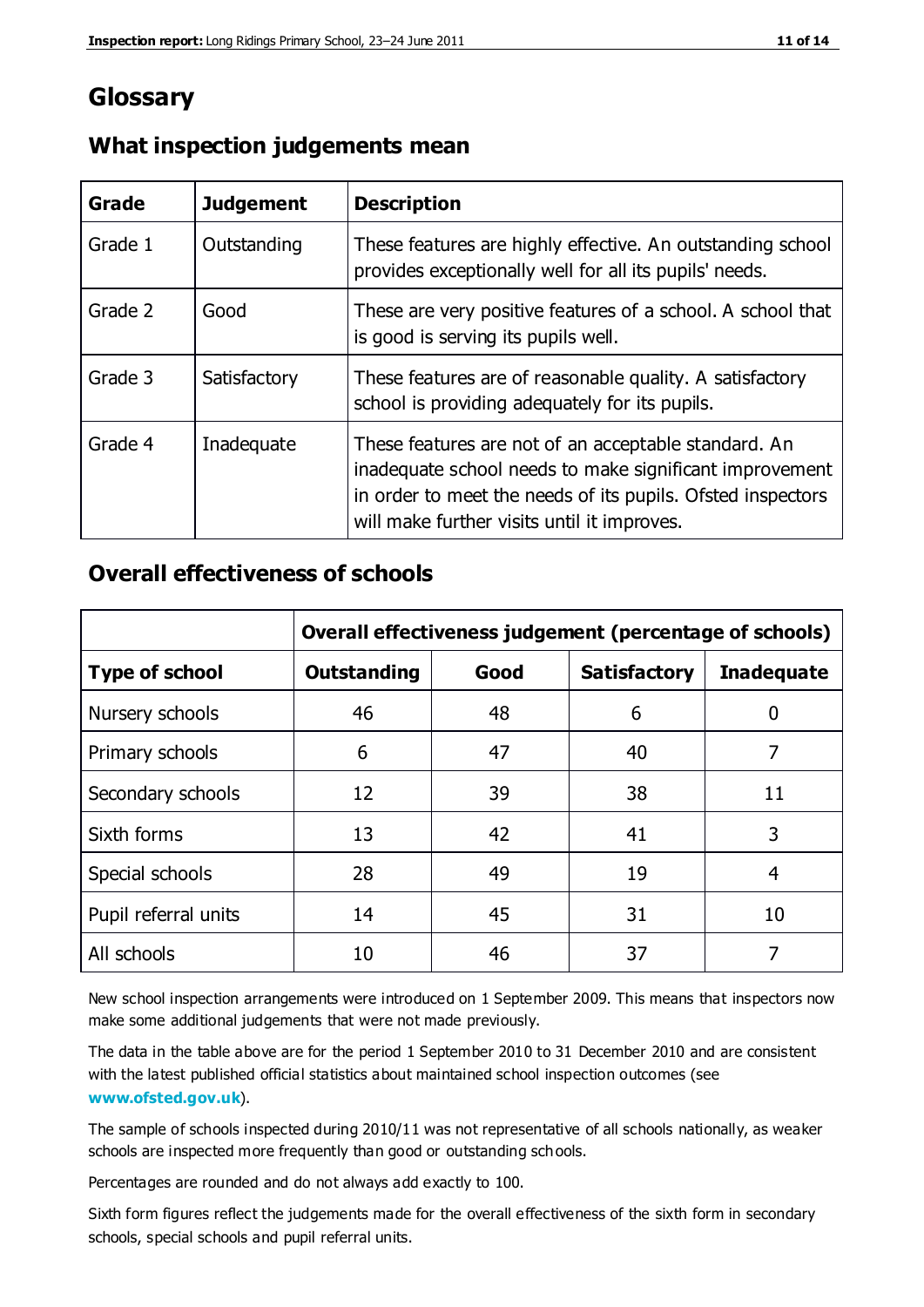## **Glossary**

| Grade   | <b>Judgement</b> | <b>Description</b>                                                                                                                                                                                                            |
|---------|------------------|-------------------------------------------------------------------------------------------------------------------------------------------------------------------------------------------------------------------------------|
| Grade 1 | Outstanding      | These features are highly effective. An outstanding school<br>provides exceptionally well for all its pupils' needs.                                                                                                          |
| Grade 2 | Good             | These are very positive features of a school. A school that<br>is good is serving its pupils well.                                                                                                                            |
| Grade 3 | Satisfactory     | These features are of reasonable quality. A satisfactory<br>school is providing adequately for its pupils.                                                                                                                    |
| Grade 4 | Inadequate       | These features are not of an acceptable standard. An<br>inadequate school needs to make significant improvement<br>in order to meet the needs of its pupils. Ofsted inspectors<br>will make further visits until it improves. |

#### **What inspection judgements mean**

#### **Overall effectiveness of schools**

|                       | Overall effectiveness judgement (percentage of schools) |      |                     |                   |
|-----------------------|---------------------------------------------------------|------|---------------------|-------------------|
| <b>Type of school</b> | <b>Outstanding</b>                                      | Good | <b>Satisfactory</b> | <b>Inadequate</b> |
| Nursery schools       | 46                                                      | 48   | 6                   |                   |
| Primary schools       | 6                                                       | 47   | 40                  | 7                 |
| Secondary schools     | 12                                                      | 39   | 38                  | 11                |
| Sixth forms           | 13                                                      | 42   | 41                  | 3                 |
| Special schools       | 28                                                      | 49   | 19                  | 4                 |
| Pupil referral units  | 14                                                      | 45   | 31                  | 10                |
| All schools           | 10                                                      | 46   | 37                  |                   |

New school inspection arrangements were introduced on 1 September 2009. This means that inspectors now make some additional judgements that were not made previously.

The data in the table above are for the period 1 September 2010 to 31 December 2010 and are consistent with the latest published official statistics about maintained school inspection outcomes (see **[www.ofsted.gov.uk](http://www.ofsted.gov.uk/)**).

The sample of schools inspected during 2010/11 was not representative of all schools nationally, as weaker schools are inspected more frequently than good or outstanding schools.

Percentages are rounded and do not always add exactly to 100.

Sixth form figures reflect the judgements made for the overall effectiveness of the sixth form in secondary schools, special schools and pupil referral units.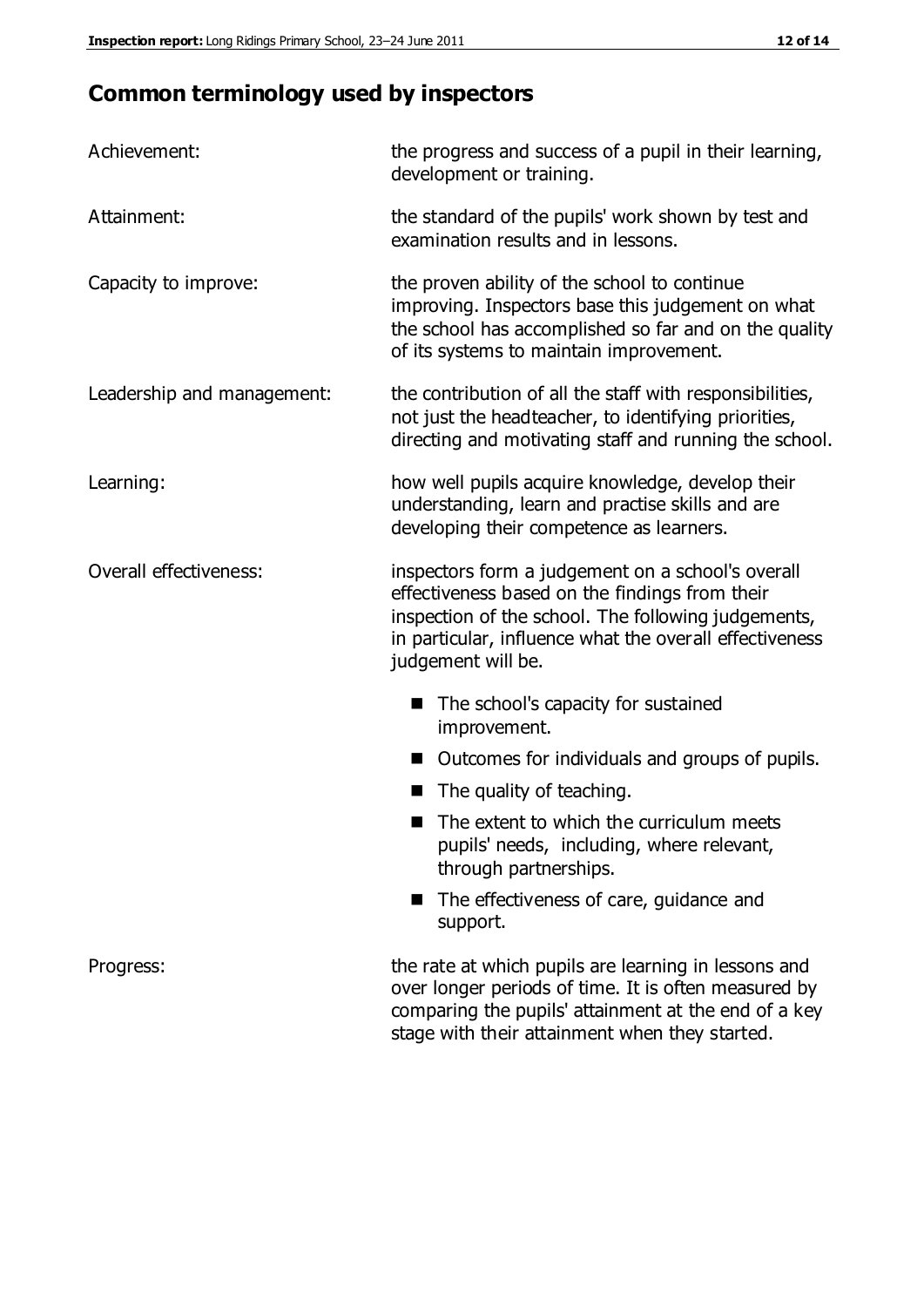## **Common terminology used by inspectors**

| Achievement:                  | the progress and success of a pupil in their learning,<br>development or training.                                                                                                                                                          |  |  |
|-------------------------------|---------------------------------------------------------------------------------------------------------------------------------------------------------------------------------------------------------------------------------------------|--|--|
| Attainment:                   | the standard of the pupils' work shown by test and<br>examination results and in lessons.                                                                                                                                                   |  |  |
| Capacity to improve:          | the proven ability of the school to continue<br>improving. Inspectors base this judgement on what<br>the school has accomplished so far and on the quality<br>of its systems to maintain improvement.                                       |  |  |
| Leadership and management:    | the contribution of all the staff with responsibilities,<br>not just the headteacher, to identifying priorities,<br>directing and motivating staff and running the school.                                                                  |  |  |
| Learning:                     | how well pupils acquire knowledge, develop their<br>understanding, learn and practise skills and are<br>developing their competence as learners.                                                                                            |  |  |
| <b>Overall effectiveness:</b> | inspectors form a judgement on a school's overall<br>effectiveness based on the findings from their<br>inspection of the school. The following judgements,<br>in particular, influence what the overall effectiveness<br>judgement will be. |  |  |
|                               | The school's capacity for sustained<br>improvement.                                                                                                                                                                                         |  |  |
|                               | Outcomes for individuals and groups of pupils.                                                                                                                                                                                              |  |  |
|                               | The quality of teaching.                                                                                                                                                                                                                    |  |  |
|                               | The extent to which the curriculum meets<br>pupils' needs, including, where relevant,<br>through partnerships.                                                                                                                              |  |  |
|                               | The effectiveness of care, guidance and<br>support.                                                                                                                                                                                         |  |  |
| Progress:                     | the rate at which pupils are learning in lessons and<br>over longer periods of time. It is often measured by<br>comparing the pupils' attainment at the end of a key                                                                        |  |  |

stage with their attainment when they started.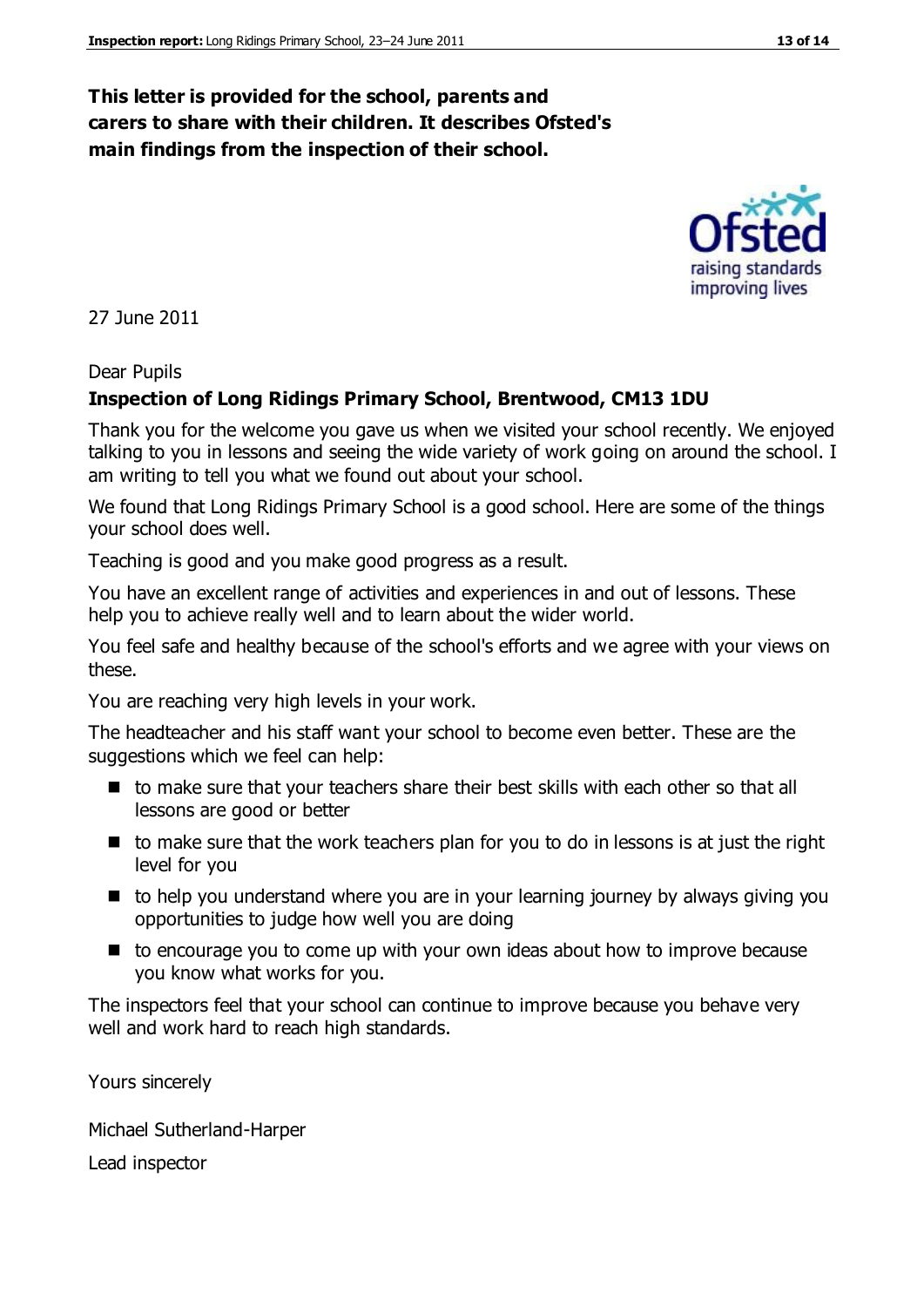#### **This letter is provided for the school, parents and carers to share with their children. It describes Ofsted's main findings from the inspection of their school.**

27 June 2011

#### Dear Pupils

#### **Inspection of Long Ridings Primary School, Brentwood, CM13 1DU**

Thank you for the welcome you gave us when we visited your school recently. We enjoyed talking to you in lessons and seeing the wide variety of work going on around the school. I am writing to tell you what we found out about your school.

We found that Long Ridings Primary School is a good school. Here are some of the things your school does well.

Teaching is good and you make good progress as a result.

You have an excellent range of activities and experiences in and out of lessons. These help you to achieve really well and to learn about the wider world.

You feel safe and healthy because of the school's efforts and we agree with your views on these.

You are reaching very high levels in your work.

The headteacher and his staff want your school to become even better. These are the suggestions which we feel can help:

- to make sure that your teachers share their best skills with each other so that all lessons are good or better
- $\blacksquare$  to make sure that the work teachers plan for you to do in lessons is at just the right level for you
- $\blacksquare$  to help you understand where you are in your learning journey by always giving you opportunities to judge how well you are doing
- $\blacksquare$  to encourage you to come up with your own ideas about how to improve because you know what works for you.

The inspectors feel that your school can continue to improve because you behave very well and work hard to reach high standards.

Yours sincerely

Michael Sutherland-Harper

Lead inspector